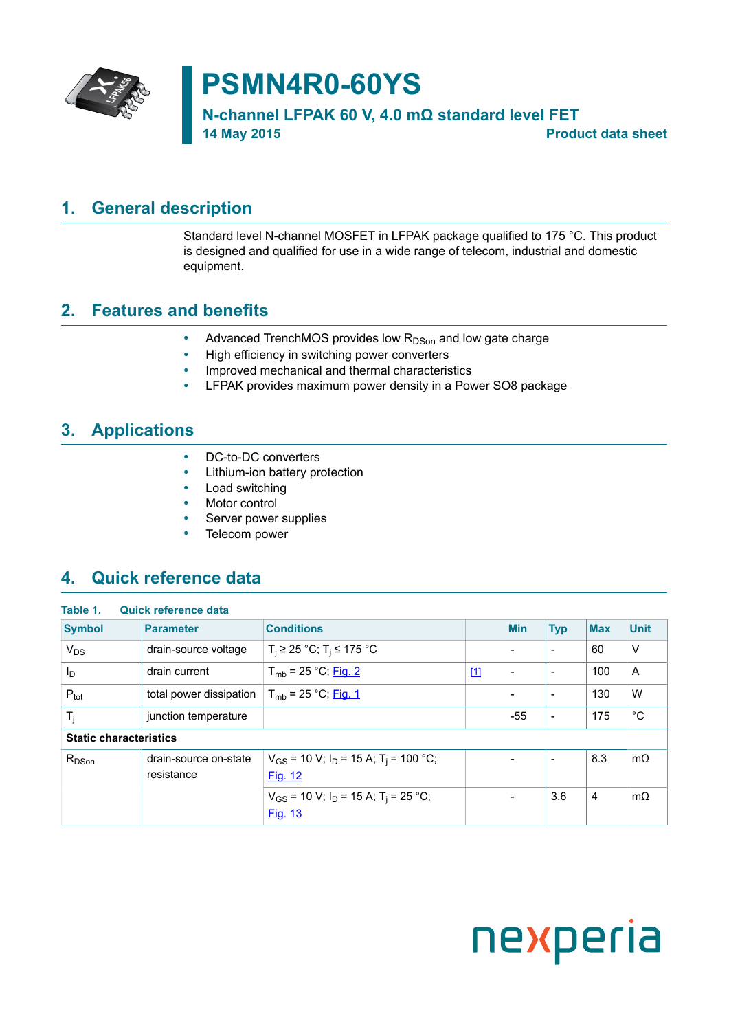

# **PSMN4R0-60YS**

**N-channel LFPAK 60 V, 4.0 mΩ standard level FET**

**Product data sheet** 

# **1. General description**

<span id="page-0-0"></span>Standard level N-channel MOSFET in LFPAK package qualified to 175 °C. This product is designed and qualified for use in a wide range of telecom, industrial and domestic equipment.

# **2. Features and benefits**

- <span id="page-0-1"></span>• Advanced TrenchMOS provides low  $R_{DSon}$  and low gate charge
- High efficiency in switching power converters<br>• Improved mechanical and thermal characteris
- Improved mechanical and thermal characteristics
- LFPAK provides maximum power density in a Power SO8 package

### **3. Applications**

- <span id="page-0-2"></span>• DC-to-DC converters
- Lithium-ion battery protection<br>• Load switching
- Load switching
- Motor control
- Server power supplies<br>• Telecom power
- <span id="page-0-3"></span>Telecom power

# **4. Quick reference data**

| Table 1.                      | <b>Quick reference data</b>         |                                                                             |             |                          |                          |            |              |
|-------------------------------|-------------------------------------|-----------------------------------------------------------------------------|-------------|--------------------------|--------------------------|------------|--------------|
| <b>Symbol</b>                 | <b>Parameter</b>                    | <b>Conditions</b>                                                           |             | <b>Min</b>               | <b>Typ</b>               | <b>Max</b> | <b>Unit</b>  |
| $V_{DS}$                      | drain-source voltage                | $T_i$ ≥ 25 °C; T <sub>i</sub> ≤ 175 °C                                      |             | ۰                        | $\overline{\phantom{a}}$ | 60         | $\vee$       |
| $I_D$                         | drain current                       | $T_{\rm mb}$ = 25 °C; Fig. 2                                                | $\boxed{1}$ | $\overline{\phantom{a}}$ | $\overline{\phantom{a}}$ | 100        | A            |
| $P_{\text{tot}}$              | total power dissipation             | $T_{mb}$ = 25 °C; <u>Fig. 1</u>                                             |             | $\overline{\phantom{a}}$ | $\overline{\phantom{a}}$ | 130        | W            |
| $T_i$                         | junction temperature                |                                                                             |             | $-55$                    | $\overline{\phantom{a}}$ | 175        | $^{\circ}$ C |
| <b>Static characteristics</b> |                                     |                                                                             |             |                          |                          |            |              |
| R <sub>DSon</sub>             | drain-source on-state<br>resistance | $V_{GS}$ = 10 V; I <sub>D</sub> = 15 A; T <sub>i</sub> = 100 °C;<br>Fig. 12 |             |                          | $\overline{\phantom{a}}$ | 8.3        | $m\Omega$    |
|                               |                                     | $V_{GS}$ = 10 V; $I_D$ = 15 A; T <sub>i</sub> = 25 °C;<br>Fig. 13           |             | $\overline{\phantom{a}}$ | 3.6                      | 4          | $m\Omega$    |

# nexperia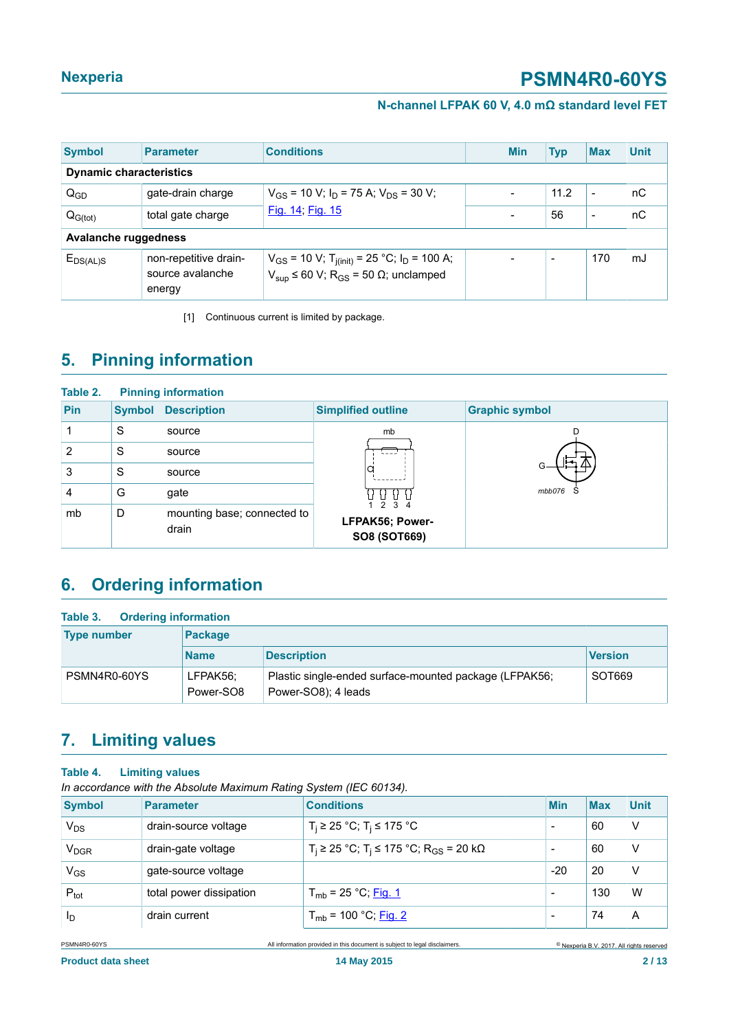### **N-channel LFPAK 60 V, 4.0 mΩ standard level FET**

<span id="page-1-0"></span>

| <b>Symbol</b>                  | <b>Parameter</b>                                    | <b>Conditions</b>                                                                                                                            |  | <b>Min</b> | <b>Typ</b>               | <b>Max</b>     | <b>Unit</b> |  |
|--------------------------------|-----------------------------------------------------|----------------------------------------------------------------------------------------------------------------------------------------------|--|------------|--------------------------|----------------|-------------|--|
| <b>Dynamic characteristics</b> |                                                     |                                                                                                                                              |  |            |                          |                |             |  |
| $Q_{GD}$                       | gate-drain charge                                   | $V_{GS}$ = 10 V; $I_D$ = 75 A; $V_{DS}$ = 30 V;                                                                                              |  |            | 11.2                     | $\blacksquare$ | пC          |  |
| $Q_{G(tot)}$                   | total gate charge                                   | Fig. 14; Fig. 15                                                                                                                             |  |            | 56                       | $\blacksquare$ | nC          |  |
| Avalanche ruggedness           |                                                     |                                                                                                                                              |  |            |                          |                |             |  |
| $E_{DS(AL)S}$                  | non-repetitive drain-<br>source avalanche<br>energy | $V_{GS}$ = 10 V; T <sub>j(init)</sub> = 25 °C; I <sub>D</sub> = 100 A;<br>$V_{\text{sup}}$ ≤ 60 V; R <sub>GS</sub> = 50 $\Omega$ ; unclamped |  |            | $\overline{\phantom{0}}$ | 170            | mJ          |  |

<span id="page-1-1"></span>[1] Continuous current is limited by package.

# **5. Pinning information**

| Table 2.       |               | <b>Pinning information</b>           |                                         |                       |
|----------------|---------------|--------------------------------------|-----------------------------------------|-----------------------|
| Pin            | <b>Symbol</b> | <b>Description</b>                   | <b>Simplified outline</b>               | <b>Graphic symbol</b> |
|                | S             | source                               | mb                                      |                       |
| $\overline{2}$ | S             | source                               | $\frac{1}{2}$                           |                       |
| 3              | S             | source                               | Q                                       |                       |
| 4              | G             | gate                                 |                                         | mbb076<br>S           |
| mb             | D             | mounting base; connected to<br>drain | 1234<br>LFPAK56; Power-<br>SO8 (SOT669) |                       |

# <span id="page-1-2"></span>**6. Ordering information**

### **Table 3. Ordering information**

| <b>Type number</b> | <b>Package</b>        |                                                                               |                |  |  |  |
|--------------------|-----------------------|-------------------------------------------------------------------------------|----------------|--|--|--|
|                    | <b>Name</b>           | <b>Description</b>                                                            | <b>Version</b> |  |  |  |
| PSMN4R0-60YS       | LFPAK56:<br>Power-SO8 | Plastic single-ended surface-mounted package (LFPAK56;<br>Power-SO8); 4 leads | SOT669         |  |  |  |

# <span id="page-1-3"></span>**7. Limiting values**

### **Table 4. Limiting values**

*In accordance with the Absolute Maximum Rating System (IEC 60134).*

| <b>Symbol</b>              | <b>Parameter</b>        | <b>Conditions</b>                                               | <b>Min</b>               | <b>Max</b> | <b>Unit</b> |
|----------------------------|-------------------------|-----------------------------------------------------------------|--------------------------|------------|-------------|
| $V_{DS}$                   | drain-source voltage    | $T_i$ ≥ 25 °C; T <sub>i</sub> ≤ 175 °C                          |                          | 60         | ν           |
| V <sub>DGR</sub>           | drain-gate voltage      | $T_i$ ≥ 25 °C; T <sub>i</sub> ≤ 175 °C; R <sub>GS</sub> = 20 kΩ |                          | 60         |             |
| $\mathsf{V}_{\mathsf{GS}}$ | gate-source voltage     |                                                                 | $-20$                    | 20         |             |
| $P_{\text{tot}}$           | total power dissipation | $T_{mb}$ = 25 °C; Fig. 1                                        | $\overline{\phantom{0}}$ | 130        | W           |
| 1D                         | drain current           | $T_{mb}$ = 100 °C; Fig. 2                                       |                          | 74         | А           |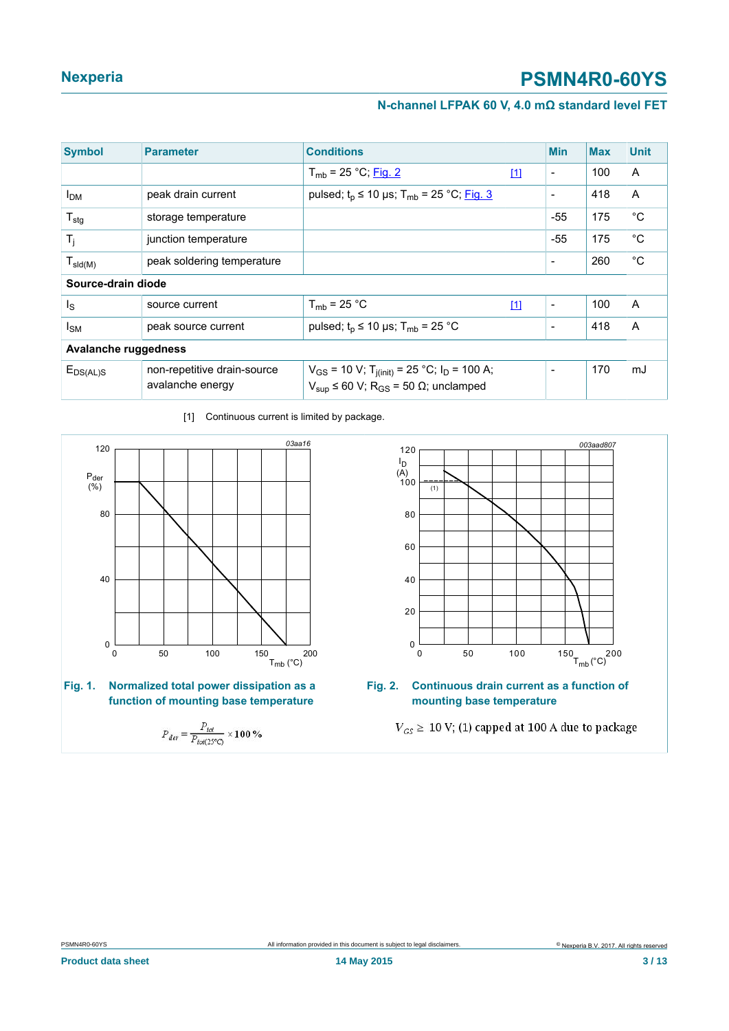### **N-channel LFPAK 60 V, 4.0 mΩ standard level FET**

<span id="page-2-2"></span>

| <b>Symbol</b>        | <b>Parameter</b>                                | <b>Conditions</b>                                                                                                                            |       | <b>Min</b>                   | <b>Max</b> | <b>Unit</b>  |
|----------------------|-------------------------------------------------|----------------------------------------------------------------------------------------------------------------------------------------------|-------|------------------------------|------------|--------------|
|                      |                                                 | $T_{mb}$ = 25 °C; Fig. 2                                                                                                                     | $[1]$ | $\overline{\phantom{a}}$     | 100        | A            |
| I <sub>DM</sub>      | peak drain current                              | pulsed; $t_p \le 10$ µs; $T_{mb} = 25$ °C; Fig. 3                                                                                            |       | $\blacksquare$               | 418        | A            |
| $T_{\text{stg}}$     | storage temperature                             |                                                                                                                                              |       | $-55$                        | 175        | $^{\circ}$ C |
| $T_j$                | junction temperature                            |                                                                                                                                              |       | $-55$                        | 175        | °C           |
| $T_{\text{sld}(M)}$  | peak soldering temperature                      |                                                                                                                                              |       | $\qquad \qquad \blacksquare$ | 260        | $^{\circ}$ C |
| Source-drain diode   |                                                 |                                                                                                                                              |       |                              |            |              |
| $I_{\rm S}$          | source current                                  | $T_{mb}$ = 25 °C                                                                                                                             | 凹     | $\overline{\phantom{a}}$     | 100        | A            |
| $I_{SM}$             | peak source current                             | pulsed; $t_p \le 10 \mu s$ ; T <sub>mb</sub> = 25 °C                                                                                         |       | $\blacksquare$               | 418        | A            |
| Avalanche ruggedness |                                                 |                                                                                                                                              |       |                              |            |              |
| $E_{DS(AL)S}$        | non-repetitive drain-source<br>avalanche energy | $V_{GS}$ = 10 V; T <sub>i(init)</sub> = 25 °C; I <sub>D</sub> = 100 A;<br>$V_{\text{sup}}$ ≤ 60 V; R <sub>GS</sub> = 50 $\Omega$ ; unclamped |       | $\overline{\phantom{0}}$     | 170        | mJ           |

[1] Continuous current is limited by package.

<span id="page-2-1"></span>



$$
P_{der} = \frac{P_{tot}}{P_{tot(25^{\circ}\mathrm{C})}} \times 100\,\%
$$

<span id="page-2-0"></span>

### **Fig. 2. Continuous drain current as a function of mounting base temperature**

 $V_{GS} \geq 10$  V; (1) capped at 100 A due to package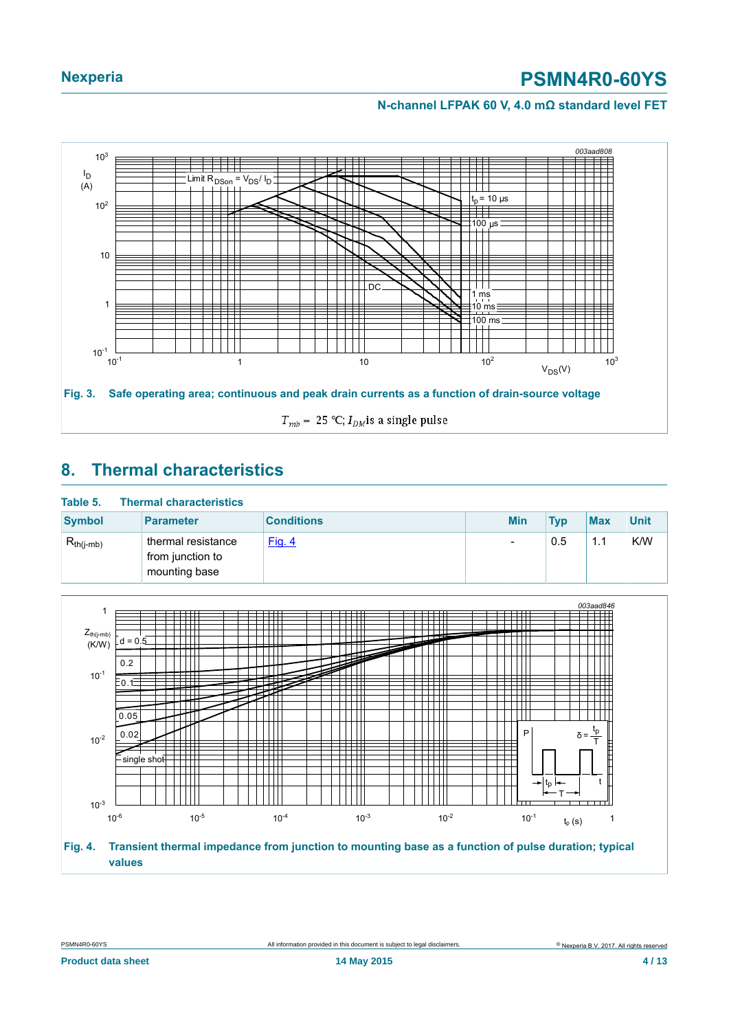### **N-channel LFPAK 60 V, 4.0 mΩ standard level FET**

<span id="page-3-0"></span>

### <span id="page-3-2"></span>**8. Thermal characteristics**

| Table 5.       | <b>Thermal characteristics</b>                          |                   |                          |            |            |             |
|----------------|---------------------------------------------------------|-------------------|--------------------------|------------|------------|-------------|
| Symbol         | <b>Parameter</b>                                        | <b>Conditions</b> | <b>Min</b>               | <b>Typ</b> | <b>Max</b> | <b>Unit</b> |
| $R_{th(i-mb)}$ | thermal resistance<br>from junction to<br>mounting base | Fig. 4            | $\overline{\phantom{a}}$ | 0.5        | 1.1        | K/W         |

<span id="page-3-1"></span>

### **Fig. 4. Transient thermal impedance from junction to mounting base as a function of pulse duration; typical values**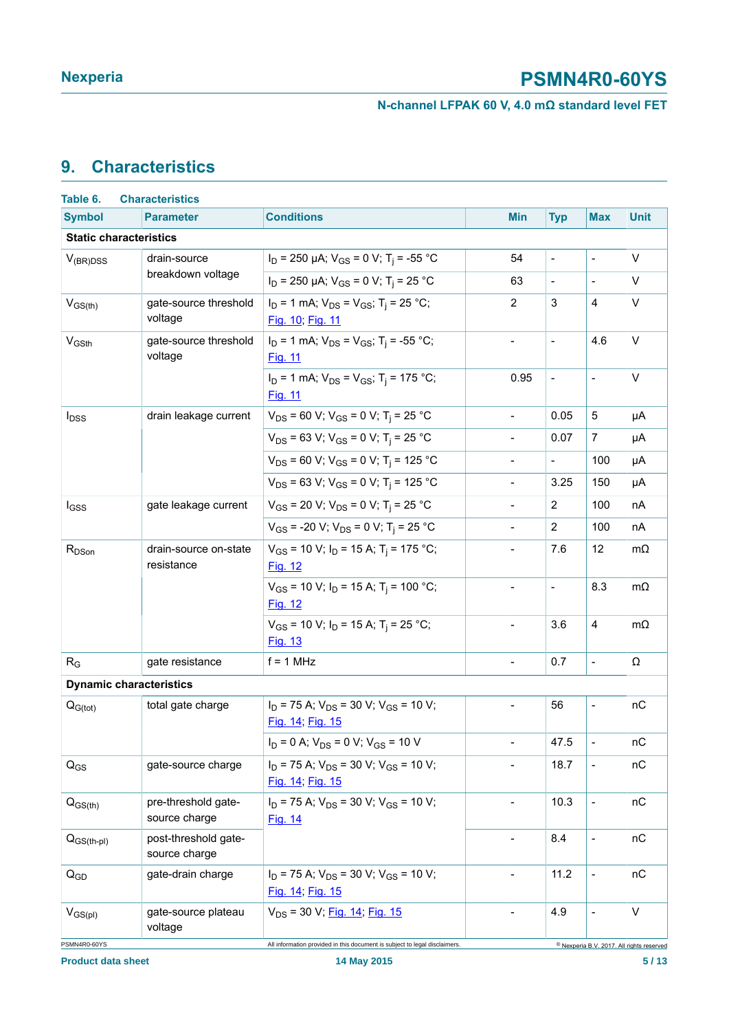**N-channel LFPAK 60 V, 4.0 mΩ standard level FET**

# <span id="page-4-0"></span>**9. Characteristics**

| Table 6.                       | <b>Characteristics</b>                |                                                                               |                              |                              |                              |                                                      |
|--------------------------------|---------------------------------------|-------------------------------------------------------------------------------|------------------------------|------------------------------|------------------------------|------------------------------------------------------|
| <b>Symbol</b>                  | <b>Parameter</b>                      | <b>Conditions</b>                                                             | <b>Min</b>                   | <b>Typ</b>                   | <b>Max</b>                   | <b>Unit</b>                                          |
| <b>Static characteristics</b>  |                                       |                                                                               |                              |                              |                              |                                                      |
| $V_{(BR)DSS}$                  | drain-source                          | $I_D$ = 250 µA; $V_{GS}$ = 0 V; T <sub>i</sub> = -55 °C                       | 54                           | $\frac{1}{2}$                | $\qquad \qquad \blacksquare$ | $\vee$                                               |
|                                | breakdown voltage                     | $I_D$ = 250 µA; $V_{GS}$ = 0 V; T <sub>i</sub> = 25 °C                        | 63                           | $\overline{\phantom{a}}$     |                              | $\vee$                                               |
| $V_{GS(th)}$                   | gate-source threshold<br>voltage      | $I_D = 1$ mA; $V_{DS} = V_{GS}$ ; T <sub>i</sub> = 25 °C;<br>Fig. 10; Fig. 11 | 2                            | 3                            | 4                            | $\vee$                                               |
| V <sub>GSth</sub>              | gate-source threshold<br>voltage      | $I_D = 1$ mA; $V_{DS} = V_{GS}$ ; T <sub>i</sub> = -55 °C;<br>Fig. 11         | $\overline{\phantom{a}}$     | $\overline{a}$               | 4.6                          | $\vee$                                               |
|                                |                                       | $I_D = 1$ mA; $V_{DS} = V_{GS}$ ; T <sub>i</sub> = 175 °C;<br><u>Fig. 11</u>  | 0.95                         | $\qquad \qquad \blacksquare$ | $\qquad \qquad \blacksquare$ | $\vee$                                               |
| $I_{DSS}$                      | drain leakage current                 | $V_{DS}$ = 60 V; V <sub>GS</sub> = 0 V; T <sub>i</sub> = 25 °C                | $\overline{\phantom{a}}$     | 0.05                         | 5                            | μA                                                   |
|                                |                                       | $V_{DS}$ = 63 V; V <sub>GS</sub> = 0 V; T <sub>j</sub> = 25 °C                | $\overline{\phantom{a}}$     | 0.07                         | 7                            | μA                                                   |
|                                |                                       | $V_{DS}$ = 60 V; V <sub>GS</sub> = 0 V; T <sub>i</sub> = 125 °C               | $\qquad \qquad \blacksquare$ | $\blacksquare$               | 100                          | μA                                                   |
|                                |                                       | $V_{DS}$ = 63 V; V <sub>GS</sub> = 0 V; T <sub>i</sub> = 125 °C               | $\qquad \qquad -$            | 3.25                         | 150                          | μA                                                   |
| $I_{GSS}$                      | gate leakage current                  | $V_{GS}$ = 20 V; $V_{DS}$ = 0 V; T <sub>i</sub> = 25 °C                       | $\qquad \qquad \blacksquare$ | $\overline{2}$               | 100                          | nA                                                   |
|                                |                                       | $V_{GS}$ = -20 V; $V_{DS}$ = 0 V; T <sub>i</sub> = 25 °C                      | $\blacksquare$               | $\overline{2}$               | 100                          | nA                                                   |
| $R_{DSon}$                     | drain-source on-state<br>resistance   | $V_{GS}$ = 10 V; I <sub>D</sub> = 15 A; T <sub>i</sub> = 175 °C;<br>Fig. 12   | $\frac{1}{2}$                | 7.6                          | 12                           | $m\Omega$                                            |
|                                |                                       | $V_{GS}$ = 10 V; I <sub>D</sub> = 15 A; T <sub>i</sub> = 100 °C;<br>Fig. 12   |                              | $\overline{a}$               | 8.3                          | $m\Omega$                                            |
|                                |                                       | $V_{GS}$ = 10 V; $I_D$ = 15 A; T <sub>i</sub> = 25 °C;<br>Fig. 13             |                              | 3.6                          | $\overline{4}$               | $m\Omega$                                            |
| $R_G$                          | gate resistance                       | $f = 1$ MHz                                                                   | $\overline{\phantom{a}}$     | 0.7                          | $\overline{\phantom{a}}$     | Ω                                                    |
| <b>Dynamic characteristics</b> |                                       |                                                                               |                              |                              |                              |                                                      |
| $Q_{G(tot)}$                   | total gate charge                     | $I_D$ = 75 A; $V_{DS}$ = 30 V; $V_{GS}$ = 10 V;<br>Fig. 14; Fig. 15           | $\qquad \qquad \blacksquare$ | 56                           | $\overline{\phantom{0}}$     | nC                                                   |
|                                |                                       | $I_D = 0$ A; $V_{DS} = 0$ V; $V_{GS} = 10$ V                                  |                              | 47.5                         |                              | $\sf n C$                                            |
| $Q_{GS}$                       | gate-source charge                    | $I_D$ = 75 A; $V_{DS}$ = 30 V; $V_{GS}$ = 10 V;<br>Fig. 14; Fig. 15           | $\overline{\phantom{0}}$     | 18.7                         | $\qquad \qquad \blacksquare$ | nC                                                   |
| $Q_{GS(th)}$                   | pre-threshold gate-<br>source charge  | $I_D$ = 75 A; $V_{DS}$ = 30 V; $V_{GS}$ = 10 V;<br>Fig. 14                    | $\overline{\phantom{0}}$     | 10.3                         | $\overline{\phantom{0}}$     | nC                                                   |
| $Q_{GS(th-pl}$                 | post-threshold gate-<br>source charge |                                                                               | $\overline{\phantom{0}}$     | 8.4                          | $\qquad \qquad \blacksquare$ | nC                                                   |
| $Q_{GD}$                       | gate-drain charge                     | $I_D$ = 75 A; $V_{DS}$ = 30 V; $V_{GS}$ = 10 V;<br>Fig. 14; Fig. 15           | $\qquad \qquad \blacksquare$ | 11.2                         | $\overline{\phantom{0}}$     | nC                                                   |
| $V_{GS(pl)}$                   | gate-source plateau<br>voltage        | $V_{DS}$ = 30 V; Fig. 14; Fig. 15                                             | $\qquad \qquad -$            | 4.9                          |                              | $\vee$                                               |
| PSMN4R0-60YS                   |                                       | All information provided in this document is subject to legal disclaimers.    |                              |                              |                              | <sup>©</sup> Nexperia B.V. 2017. All rights reserved |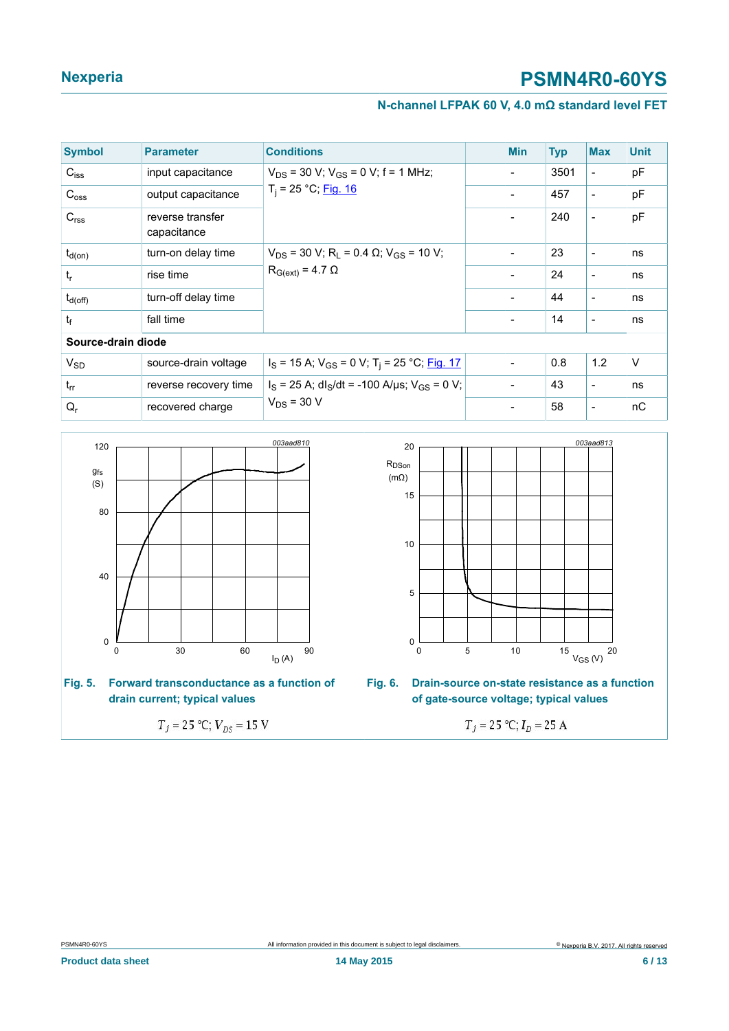### **N-channel LFPAK 60 V, 4.0 mΩ standard level FET**

| <b>Symbol</b>       | <b>Parameter</b>                | <b>Conditions</b>                                                                                     |  | <b>Min</b>               | <b>Typ</b> | <b>Max</b>                   | <b>Unit</b> |
|---------------------|---------------------------------|-------------------------------------------------------------------------------------------------------|--|--------------------------|------------|------------------------------|-------------|
| $C_{iss}$           | input capacitance               | $V_{DS}$ = 30 V; $V_{GS}$ = 0 V; f = 1 MHz;                                                           |  | $\overline{\phantom{a}}$ | 3501       | $\overline{a}$               | pF          |
| $C_{\text{oss}}$    | output capacitance              | $T_i = 25 °C;$ Fig. 16                                                                                |  | $\overline{\phantom{a}}$ | 457        | $\overline{a}$               | pF          |
| C <sub>rss</sub>    | reverse transfer<br>capacitance |                                                                                                       |  | $\overline{\phantom{a}}$ | 240        | $\overline{\phantom{a}}$     | pF          |
| $t_{d(on)}$         | turn-on delay time              | $V_{DS}$ = 30 V; R <sub>1</sub> = 0.4 $\Omega$ ; V <sub>GS</sub> = 10 V;<br>$R_{G(ext)} = 4.7 \Omega$ |  | $\overline{\phantom{a}}$ | 23         | $\qquad \qquad \blacksquare$ | ns          |
| $t_{r}$             | rise time                       |                                                                                                       |  | $\blacksquare$           | 24         | $\blacksquare$               | ns          |
| $t_{d(\text{off})}$ | turn-off delay time             |                                                                                                       |  |                          | 44         | $\qquad \qquad \blacksquare$ | ns          |
| $t_{\rm f}$         | fall time                       |                                                                                                       |  | $\overline{\phantom{a}}$ | 14         | $\overline{\phantom{a}}$     | ns          |
| Source-drain diode  |                                 |                                                                                                       |  |                          |            |                              |             |
| $V_{SD}$            | source-drain voltage            | $I_S$ = 15 A; $V_{GS}$ = 0 V; T <sub>i</sub> = 25 °C; Fig. 17                                         |  | $\blacksquare$           | 0.8        | 1.2                          | $\vee$      |
| $t_{rr}$            | reverse recovery time           | $I_S = 25$ A; dls/dt = -100 A/us; $V_{GS} = 0$ V;                                                     |  |                          | 43         | $\qquad \qquad \blacksquare$ | ns          |
| $Q_{r}$             | recovered charge                | $V_{DS}$ = 30 V                                                                                       |  |                          | 58         |                              | nC          |



**Fig. 5. Forward transconductance as a function of drain current; typical values**

 $T_j = 25 °C; V_{DS} = 15 V$ 



**Fig. 6. Drain-source on-state resistance as a function of gate-source voltage; typical values**

 $T_j = 25 °C; I_D = 25 A$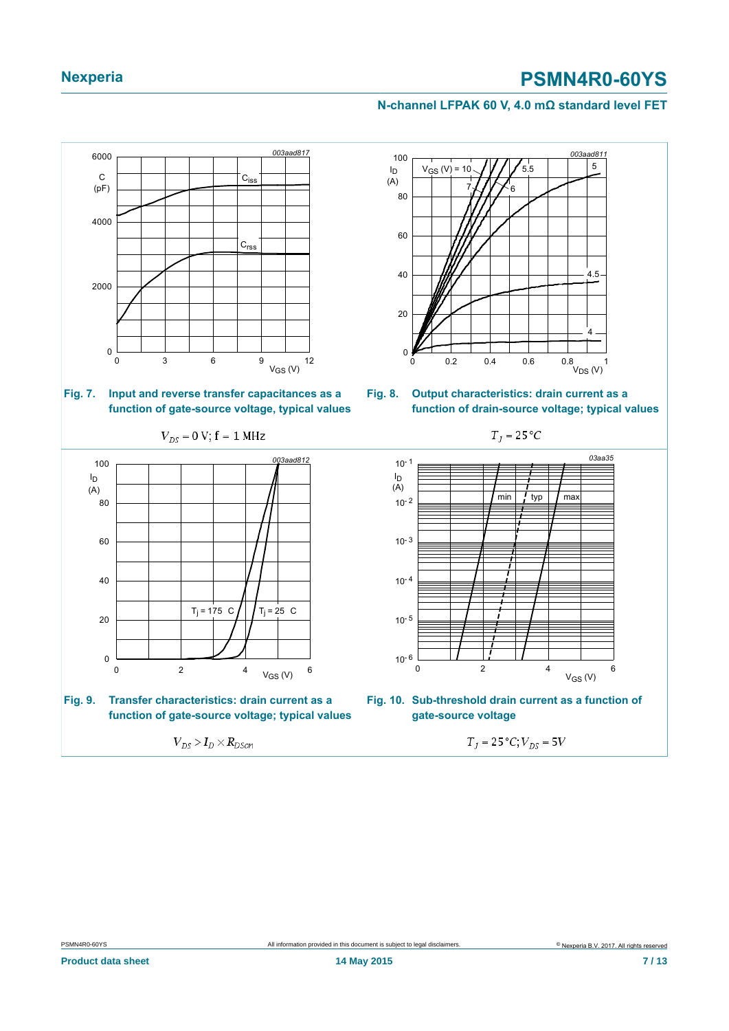### <span id="page-6-0"></span>**N-channel LFPAK 60 V, 4.0 mΩ standard level FET**

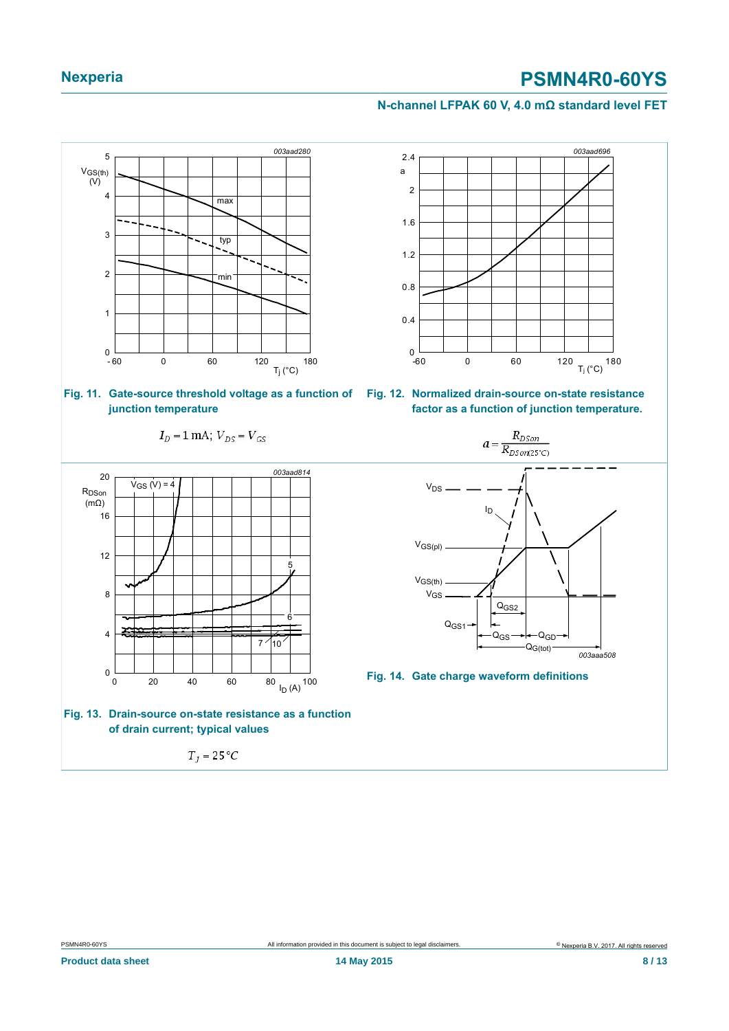### <span id="page-7-2"></span><span id="page-7-0"></span>**N-channel LFPAK 60 V, 4.0 mΩ standard level FET**

<span id="page-7-3"></span><span id="page-7-1"></span>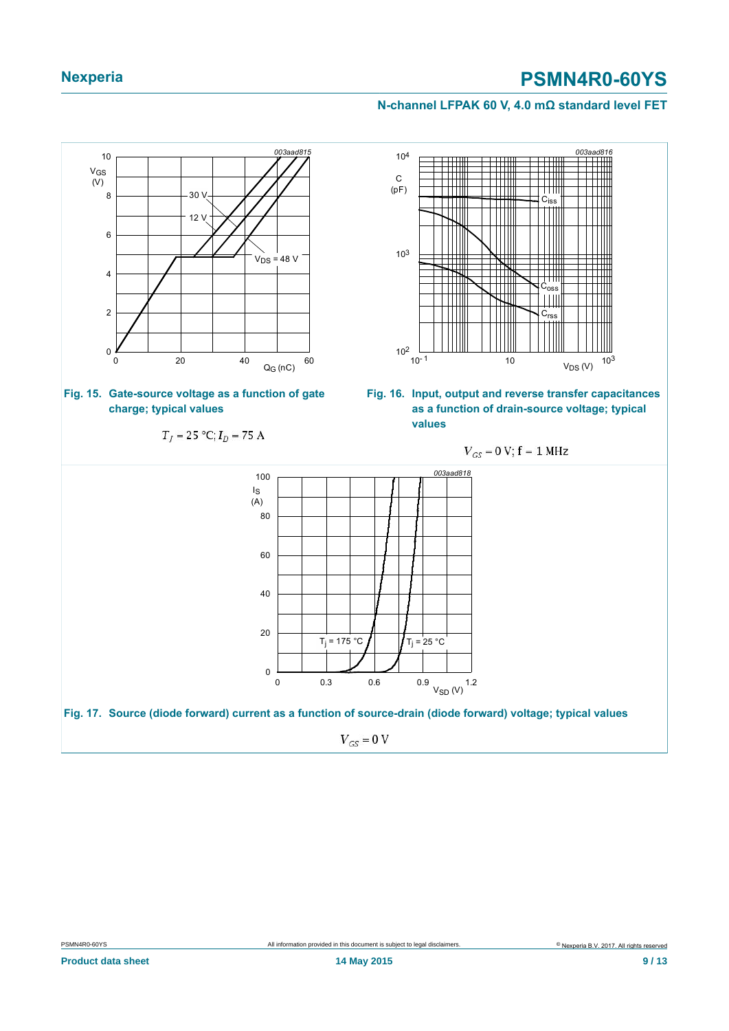<span id="page-8-1"></span>**N-channel LFPAK 60 V, 4.0 mΩ standard level FET**

<span id="page-8-2"></span><span id="page-8-0"></span>

 $V_{GS} = 0$  V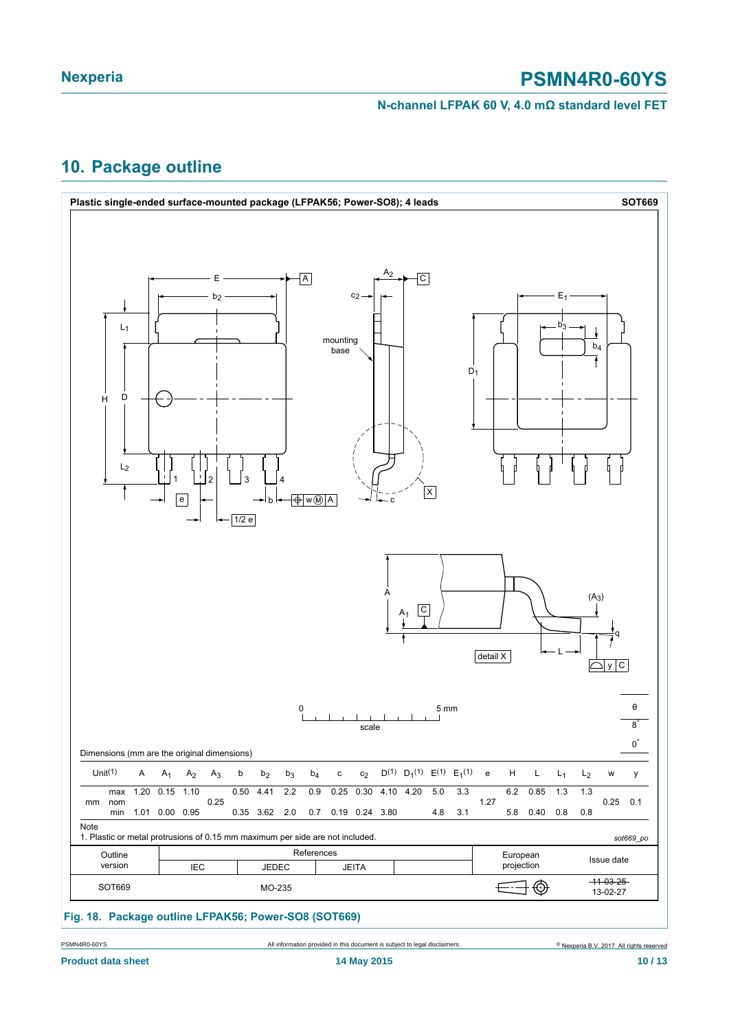**N-channel LFPAK 60 V, 4.0 mΩ standard level FET**

# <span id="page-9-0"></span>**10. Package outline**

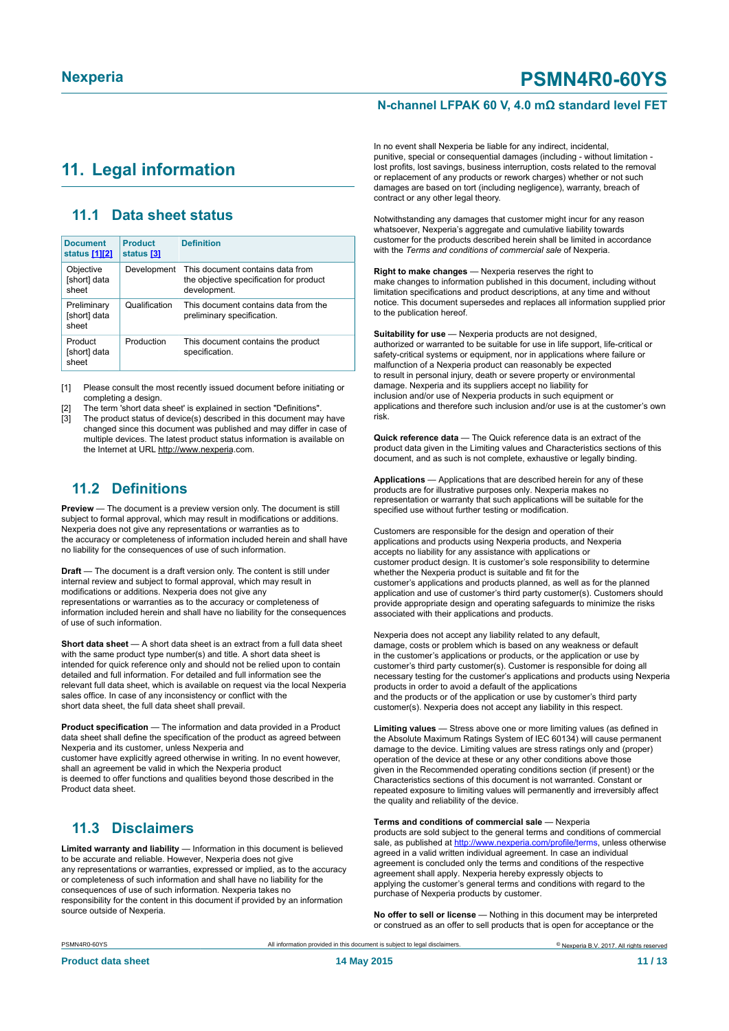### **N-channel LFPAK 60 V, 4.0 mΩ standard level FET**

### <span id="page-10-1"></span><span id="page-10-0"></span>**11. Legal information**

### <span id="page-10-2"></span>**11.1 Data sheet status**

| <b>Document</b><br>status [1][2]     | <b>Product</b><br>status [3] | <b>Definition</b>                                                                           |
|--------------------------------------|------------------------------|---------------------------------------------------------------------------------------------|
| Objective<br>[short] data<br>sheet   | Development                  | This document contains data from<br>the objective specification for product<br>development. |
| Preliminary<br>[short] data<br>sheet | Qualification                | This document contains data from the<br>preliminary specification.                          |
| Product<br>[short] data<br>sheet     | Production                   | This document contains the product<br>specification.                                        |

[1] Please consult the most recently issued document before initiating or completing a design.

[2] The term 'short data sheet' is explained in section "Definitions".

The product status of device(s) described in this document may have changed since this document was published and may differ in case of multiple devices. The latest product status information is available on the Internet at URL http://www.nexperia.com.

### <span id="page-10-3"></span>**11.2 Definitions**

**Preview** — The document is a preview version only. The document is still subject to formal approval, which may result in modifications or additions. Nexperia does not give any representations or warranties as to the accuracy or completeness of information included herein and shall have no liability for the consequences of use of such information.

**Draft** — The document is a draft version only. The content is still under internal review and subject to formal approval, which may result in modifications or additions. Nexperia does not give any representations or warranties as to the accuracy or completeness of information included herein and shall have no liability for the consequences of use of such information.

**Short data sheet** — A short data sheet is an extract from a full data sheet with the same product type number(s) and title. A short data sheet is intended for quick reference only and should not be relied upon to contain detailed and full information. For detailed and full information see the relevant full data sheet, which is available on request via the local Nexperia sales office. In case of any inconsistency or conflict with the short data sheet, the full data sheet shall prevail.

**Product specification** — The information and data provided in a Product data sheet shall define the specification of the product as agreed between Nexperia and its customer, unless Nexperia and

customer have explicitly agreed otherwise in writing. In no event however, shall an agreement be valid in which the Nexperia product is deemed to offer functions and qualities beyond those described in the Product data sheet.

### <span id="page-10-4"></span>**11.3 Disclaimers**

**Limited warranty and liability** — Information in this document is believed to be accurate and reliable. However, Nexperia does not give any representations or warranties, expressed or implied, as to the accuracy or completeness of such information and shall have no liability for the consequences of use of such information. Nexperia takes no responsibility for the content in this document if provided by an information source outside of Nexperia.

In no event shall Nexperia be liable for any indirect, incidental, punitive, special or consequential damages (including - without limitation lost profits, lost savings, business interruption, costs related to the removal or replacement of any products or rework charges) whether or not such damages are based on tort (including negligence), warranty, breach of contract or any other legal theory.

Notwithstanding any damages that customer might incur for any reason whatsoever, Nexperia's aggregate and cumulative liability towards customer for the products described herein shall be limited in accordance with the *Terms and conditions of commercial sale* of Nexperia.

**Right to make changes** — Nexperia reserves the right to make changes to information published in this document, including without limitation specifications and product descriptions, at any time and without notice. This document supersedes and replaces all information supplied prior to the publication hereof.

**Suitability for use** — Nexperia products are not designed, authorized or warranted to be suitable for use in life support, life-critical or safety-critical systems or equipment, nor in applications where failure or malfunction of a Nexperia product can reasonably be expected to result in personal injury, death or severe property or environmental damage. Nexperia and its suppliers accept no liability for inclusion and/or use of Nexperia products in such equipment or applications and therefore such inclusion and/or use is at the customer's own risk.

**Quick reference data** — The Quick reference data is an extract of the product data given in the Limiting values and Characteristics sections of this document, and as such is not complete, exhaustive or legally binding.

**Applications** — Applications that are described herein for any of these products are for illustrative purposes only. Nexperia makes no representation or warranty that such applications will be suitable for the specified use without further testing or modification.

Customers are responsible for the design and operation of their applications and products using Nexperia products, and Nexperia accepts no liability for any assistance with applications or customer product design. It is customer's sole responsibility to determine whether the Nexperia product is suitable and fit for the customer's applications and products planned, as well as for the planned application and use of customer's third party customer(s). Customers should provide appropriate design and operating safeguards to minimize the risks associated with their applications and products.

Nexperia does not accept any liability related to any default, damage, costs or problem which is based on any weakness or default in the customer's applications or products, or the application or use by customer's third party customer(s). Customer is responsible for doing all necessary testing for the customer's applications and products using Nexperia products in order to avoid a default of the applications and the products or of the application or use by customer's third party customer(s). Nexperia does not accept any liability in this respect.

**Limiting values** — Stress above one or more limiting values (as defined in the Absolute Maximum Ratings System of IEC 60134) will cause permanent damage to the device. Limiting values are stress ratings only and (proper) operation of the device at these or any other conditions above those given in the Recommended operating conditions section (if present) or the Characteristics sections of this document is not warranted. Constant or repeated exposure to limiting values will permanently and irreversibly affect the quality and reliability of the device.

### **Terms and conditions of commercial sale** — Nexperia

products are sold subject to the general terms and conditions of commercial sale, as published at [http://www.nexperia.com/profile/t](http://www.nexperia.com/profile/terms)erms, unless otherwise agreed in a valid written individual agreement. In case an individual agreement is concluded only the terms and conditions of the respective agreement shall apply. Nexperia hereby expressly objects to applying the customer's general terms and conditions with regard to the purchase of Nexperia products by customer.

**No offer to sell or license** — Nothing in this document may be interpreted or construed as an offer to sell products that is open for acceptance or the

PSMN4R0-60YS **All information provided in this document is subject to legal disclaimers.** 

© Nexperia B.V. 2017. All rights reserved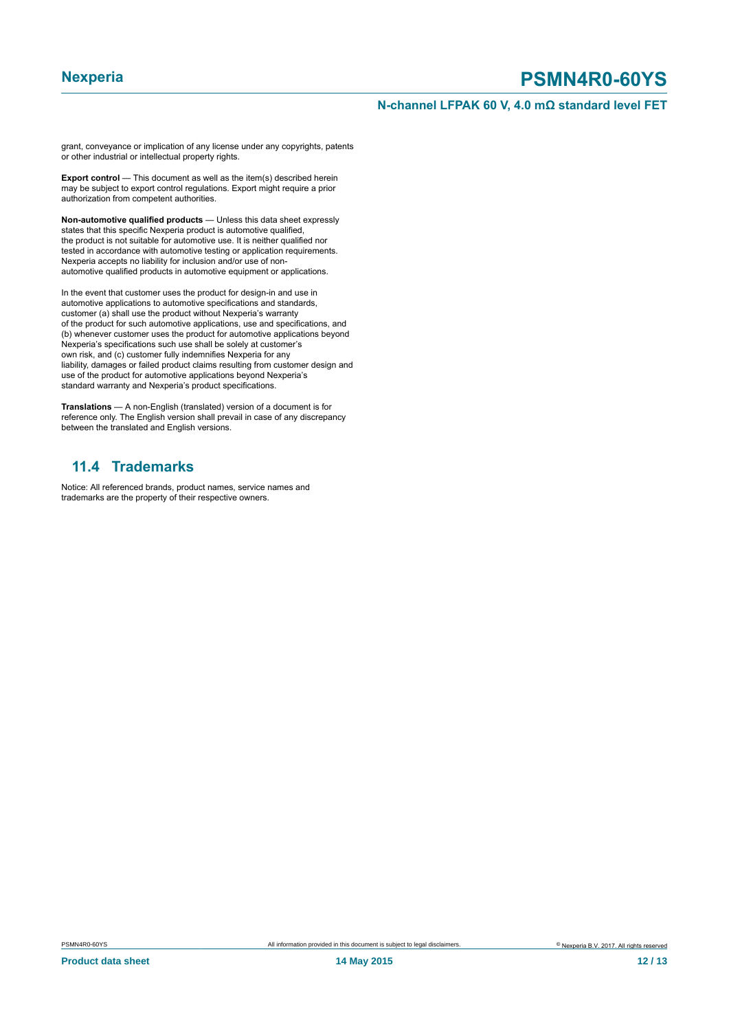### **N-channel LFPAK 60 V, 4.0 mΩ standard level FET**

grant, conveyance or implication of any license under any copyrights, patents or other industrial or intellectual property rights.

**Export control** — This document as well as the item(s) described herein may be subject to export control regulations. Export might require a prior authorization from competent authorities.

**Non-automotive qualified products** — Unless this data sheet expressly states that this specific Nexperia product is automotive qualified, the product is not suitable for automotive use. It is neither qualified nor tested in accordance with automotive testing or application requirements. Nexperia accepts no liability for inclusion and/or use of nonautomotive qualified products in automotive equipment or applications.

In the event that customer uses the product for design-in and use in automotive applications to automotive specifications and standards, customer (a) shall use the product without Nexperia's warranty of the product for such automotive applications, use and specifications, and (b) whenever customer uses the product for automotive applications beyond Nexperia's specifications such use shall be solely at customer's own risk, and (c) customer fully indemnifies Nexperia for any liability, damages or failed product claims resulting from customer design and use of the product for automotive applications beyond Nexperia's standard warranty and Nexperia's product specifications.

**Translations** — A non-English (translated) version of a document is for reference only. The English version shall prevail in case of any discrepancy between the translated and English versions.

### <span id="page-11-0"></span>**11.4 Trademarks**

Notice: All referenced brands, product names, service names and trademarks are the property of their respective owners.